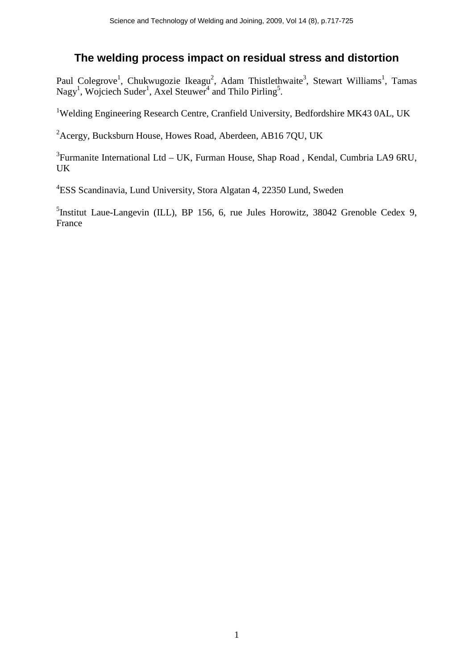# **The welding process impact on residual stress and distortion**

Paul Colegrove<sup>1</sup>, Chukwugozie Ikeagu<sup>2</sup>, Adam Thistlethwaite<sup>3</sup>, Stewart Williams<sup>1</sup>, Tamas Nagy<sup>1</sup>, Wojciech Suder<sup>1</sup>, Axel Steuwer<sup>4</sup> and Thilo Pirling<sup>5</sup>.

<sup>1</sup>Welding Engineering Research Centre, Cranfield University, Bedfordshire MK43 0AL, UK

<sup>2</sup> Acergy, Bucksburn House, Howes Road, Aberdeen, AB16 7OU, UK

 $3$ Furmanite International Ltd – UK, Furman House, Shap Road, Kendal, Cumbria LA9 6RU, UK

4 ESS Scandinavia, Lund University, Stora Algatan 4, 22350 Lund, Sweden

<sup>5</sup>Institut Laue-Langevin (ILL), BP 156, 6, rue Jules Horowitz, 38042 Grenoble Cedex 9, France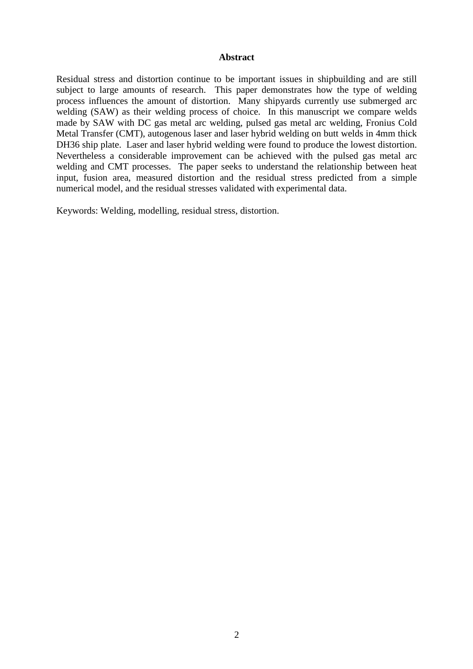#### **Abstract**

Residual stress and distortion continue to be important issues in shipbuilding and are still subject to large amounts of research. This paper demonstrates how the type of welding process influences the amount of distortion. Many shipyards currently use submerged arc welding (SAW) as their welding process of choice. In this manuscript we compare welds made by SAW with DC gas metal arc welding, pulsed gas metal arc welding, Fronius Cold Metal Transfer (CMT), autogenous laser and laser hybrid welding on butt welds in 4mm thick DH36 ship plate. Laser and laser hybrid welding were found to produce the lowest distortion. Nevertheless a considerable improvement can be achieved with the pulsed gas metal arc welding and CMT processes. The paper seeks to understand the relationship between heat input, fusion area, measured distortion and the residual stress predicted from a simple numerical model, and the residual stresses validated with experimental data.

Keywords: Welding, modelling, residual stress, distortion.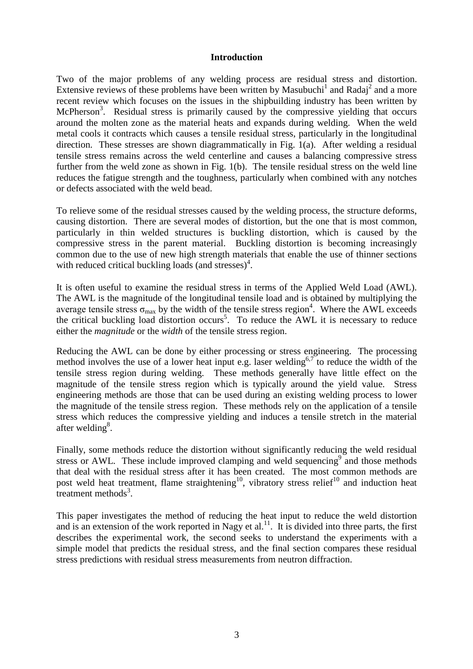#### **Introduction**

Two of the major problems of any welding process are residual stress and distortion. Extensive reviews of these problems have been written by Masubuchi<sup>1</sup> and Radaj<sup>2</sup> and a more recent review which focuses on the issues in the shipbuilding industry has been written by McPherson<sup>3</sup>. Residual stress is primarily caused by the compressive yielding that occurs around the molten zone as the material heats and expands during welding. When the weld metal cools it contracts which causes a tensile residual stress, particularly in the longitudinal direction. These stresses are shown diagrammaticallyin [Fig. 1](#page-15-0)(a). After welding a residual tensile stress remains across the weld centerline and causes a balancing compressive stress further from the weld zone as shownin [Fig. 1](#page-15-0)(b). The tensile residual stress on the weld line reduces the fatigue strength and the toughness, particularly when combined with any notches or defects associated with the weld bead.

To relieve some of the residual stresses caused by the welding process, the structure deforms, causing distortion. There are several modes of distortion, but the one that is most common, particularly in thin welded structures is buckling distortion, which is caused by the compressive stress in the parent material. Buckling distortion is becoming increasingly common due to the use of new high strength materials that enable the use of thinner sections with reduced critical buckling loads (and stresses)<sup>4</sup>.

It is often useful to examine the residual stress in terms of the Applied Weld Load (AWL). The AWL is the magnitude of the longitudinal tensile load and is obtained by multiplying the average tensile stress  $\sigma_{\text{max}}$  by the width of the tensile stress region<sup>4</sup>. Where the AWL exceeds the critical buckling load distortion occurs<sup>5</sup>. To reduce the AWL it is necessary to reduce either the *magnitude* or the *width* of the tensile stress region.

Reducing the AWL can be done by either processing or stress engineering. The processing method involves the use of a lower heat input e.g. laser welding<sup>6,7</sup> to reduce the width of the tensile stress region during welding. These methods generally have little effect on the magnitude of the tensile stress region which is typically around the yield value. Stress engineering methods are those that can be used during an existing welding process to lower the magnitude of the tensile stress region. These methods rely on the application of a tensile stress which reduces the compressive yielding and induces a tensile stretch in the material after welding $8$ .

Finally, some methods reduce the distortion without significantly reducing the weld residual stress or AWL. These include improved clamping and weld sequencing  $9^{\circ}$  and those methods that deal with the residual stress after it has been created. The most common methods are post weld heat treatment, flame straightening<sup>10</sup>, vibratory stress relief<sup>10</sup> and induction heat treatment methods $3$ .

This paper investigates the method of reducing the heat input to reduce the weld distortion and is an extension of the work reported in Nagy et al.<sup>11</sup>. It is divided into three parts, the first describes the experimental work, the second seeks to understand the experiments with a simple model that predicts the residual stress, and the final section compares these residual stress predictions with residual stress measurements from neutron diffraction.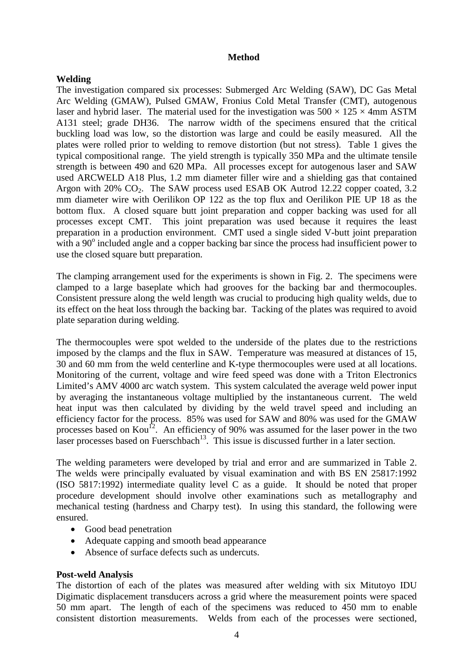## **Method**

## **Welding**

The investigation compared six processes: Submerged Arc Welding (SAW), DC Gas Metal Arc Welding (GMAW), Pulsed GMAW, Fronius Cold Metal Transfer (CMT), autogenous laser and hybrid laser. The material used for the investigation was  $500 \times 125 \times 4 \text{mm}$  ASTM A131 steel; grade DH36. The narrow width of the specimens ensured that the critical buckling load was low, so the distortion was large and could be easily measured. All the plates were rolled prior to welding to remove distortion (but not stress). [Table 1](#page-12-0) gives the typical compositional range. The yield strength is typically 350 MPa and the ultimate tensile strength is between 490 and 620 MPa. All processes except for autogenous laser and SAW used ARCWELD A18 Plus, 1.2 mm diameter filler wire and a shielding gas that contained Argon with 20%  $CO<sub>2</sub>$ . The SAW process used ESAB OK Autrod 12.22 copper coated, 3.2 mm diameter wire with Oerilikon OP 122 as the top flux and Oerilikon PIE UP 18 as the bottom flux. A closed square butt joint preparation and copper backing was used for all processes except CMT. This joint preparation was used because it requires the least preparation in a production environment. CMT used a single sided V-butt joint preparation with a  $90^\circ$  included angle and a copper backing bar since the process had insufficient power to use the closed square butt preparation.

The clamping arrangement used for the experiments is shownin [Fig. 2](#page-15-1). The specimens were clamped to a large baseplate which had grooves for the backing bar and thermocouples. Consistent pressure along the weld length was crucial to producing high quality welds, due to its effect on the heat loss through the backing bar. Tacking of the plates was required to avoid plate separation during welding.

The thermocouples were spot welded to the underside of the plates due to the restrictions imposed by the clamps and the flux in SAW. Temperature was measured at distances of 15, 30 and 60 mm from the weld centerline and K-type thermocouples were used at all locations. Monitoring of the current, voltage and wire feed speed was done with a Triton Electronics Limited's AMV 4000 arc watch system. This system calculated the average weld power input by averaging the instantaneous voltage multiplied by the instantaneous current. The weld heat input was then calculated by dividing by the weld travel speed and including an efficiency factor for the process. 85% was used for SAW and 80% was used for the GMAW processes based on  $Kou<sup>12</sup>$ . An efficiency of 90% was assumed for the laser power in the two laser processes based on Fuerschbach<sup>13</sup>. This issue is discussed further in a later section.

The welding parameters were developed by trial and error and are summarizedin [Table 2](#page-12-1). The welds were principally evaluated by visual examination and with BS EN 25817:1992 (ISO 5817:1992) intermediate quality level C as a guide. It should be noted that proper procedure development should involve other examinations such as metallography and mechanical testing (hardness and Charpy test). In using this standard, the following were ensured.

- Good bead penetration
- Adequate capping and smooth bead appearance
- Absence of surface defects such as undercuts.

## **Post-weld Analysis**

The distortion of each of the plates was measured after welding with six Mitutoyo IDU Digimatic displacement transducers across a grid where the measurement points were spaced 50 mm apart. The length of each of the specimens was reduced to 450 mm to enable consistent distortion measurements. Welds from each of the processes were sectioned,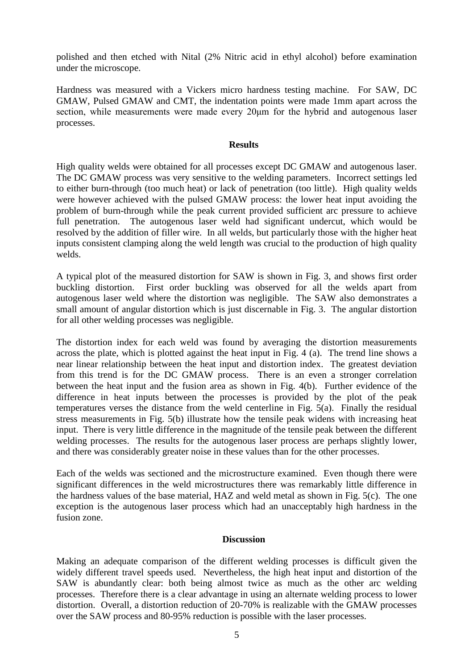polished and then etched with Nital (2% Nitric acid in ethyl alcohol) before examination under the microscope.

Hardness was measured with a Vickers micro hardness testing machine. For SAW, DC GMAW, Pulsed GMAW and CMT, the indentation points were made 1mm apart across the section, while measurements were made every 20μm for the hybrid and autogenous laser processes.

#### **Results**

High quality welds were obtained for all processes except DC GMAW and autogenous laser. The DC GMAW process was very sensitive to the welding parameters. Incorrect settings led to either burn-through (too much heat) or lack of penetration (too little). High quality welds were however achieved with the pulsed GMAW process: the lower heat input avoiding the problem of burn-through while the peak current provided sufficient arc pressure to achieve full penetration. The autogenous laser weld had significant undercut, which would be resolved by the addition of filler wire. In all welds, but particularly those with the higher heat inputs consistent clamping along the weld length was crucial to the production of high quality welds.

A typical plot of the measured distortion for SAW is shownin [Fig. 3](#page-16-0), and shows first order buckling distortion. First order buckling was observed for all the welds apart from autogenous laser weld where the distortion was negligible. The SAW also demonstrates a small amount of angular distortion which is just discernablein [Fig. 3.](#page-16-0) The angular distortion for all other welding processes was negligible.

The distortion index for each weld was found by averaging the distortion measurements across the plate, which is plotted against the heat inputin [Fig. 4](#page-16-1) (a). The trend line shows a near linear relationship between the heat input and distortion index. The greatest deviation from this trend is for the DC GMAW process. There is an even a stronger correlation between the heat input and the fusion area as shownin [Fig. 4](#page-16-1)(b). Further evidence of the difference in heat inputs between the processes is provided by the plot of the peak temperatures verses the distance from the weld centerlinein [Fig. 5\(](#page-17-0)a). Finally the residual stress measurementsin [Fig. 5](#page-17-0)(b) illustrate how the tensile peak widens with increasing heat input. There is very little difference in the magnitude of the tensile peak between the different welding processes. The results for the autogenous laser process are perhaps slightly lower, and there was considerably greater noise in these values than for the other processes.

Each of the welds was sectioned and the microstructure examined. Even though there were significant differences in the weld microstructures there was remarkably little difference in the hardness values of the base material, HAZ and weld metal as shownin [Fig. 5](#page-17-0)(c). The one exception is the autogenous laser process which had an unacceptably high hardness in the fusion zone.

#### **Discussion**

Making an adequate comparison of the different welding processes is difficult given the widely different travel speeds used. Nevertheless, the high heat input and distortion of the SAW is abundantly clear: both being almost twice as much as the other arc welding processes. Therefore there is a clear advantage in using an alternate welding process to lower distortion. Overall, a distortion reduction of 20-70% is realizable with the GMAW processes over the SAW process and 80-95% reduction is possible with the laser processes.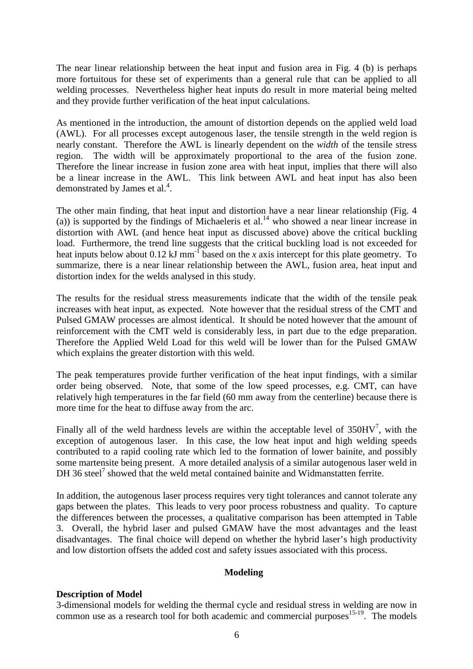The near linear relationship between the heat input and fusion areain [Fig. 4](#page-16-1) (b) is perhaps more fortuitous for these set of experiments than a general rule that can be applied to all welding processes. Nevertheless higher heat inputs do result in more material being melted and they provide further verification of the heat input calculations.

As mentioned in the introduction, the amount of distortion depends on the applied weld load (AWL). For all processes except autogenous laser, the tensile strength in the weld region is nearly constant. Therefore the AWL is linearly dependent on the *width* of the tensile stress region. The width will be approximately proportional to the area of the fusion zone. Therefore the linear increase in fusion zone area with heat input, implies that there will also be a linear increase in the AWL. This link between AWL and heat input has also been demonstrated by James et al.<sup>4</sup>.

The other main finding, that heat input and distortion have a near linear relationship [\(Fig. 4](#page-16-1) (a)) is supported by the findings of Michaeleris et al.<sup>14</sup> who showed a near linear increase in distortion with AWL (and hence heat input as discussed above) above the critical buckling load. Furthermore, the trend line suggests that the critical buckling load is not exceeded for heat inputs below about  $0.12 \text{ kJ mm}^{-1}$  based on the *x* axis intercept for this plate geometry. To summarize, there is a near linear relationship between the AWL, fusion area, heat input and distortion index for the welds analysed in this study.

The results for the residual stress measurements indicate that the width of the tensile peak increases with heat input, as expected. Note however that the residual stress of the CMT and Pulsed GMAW processes are almost identical. It should be noted however that the amount of reinforcement with the CMT weld is considerably less, in part due to the edge preparation. Therefore the Applied Weld Load for this weld will be lower than for the Pulsed GMAW which explains the greater distortion with this weld.

The peak temperatures provide further verification of the heat input findings, with a similar order being observed. Note, that some of the low speed processes, e.g. CMT, can have relatively high temperatures in the far field (60 mm away from the centerline) because there is more time for the heat to diffuse away from the arc.

Finally all of the weld hardness levels are within the acceptable level of  $350HV^7$ , with the exception of autogenous laser. In this case, the low heat input and high welding speeds contributed to a rapid cooling rate which led to the formation of lower bainite, and possibly some martensite being present. A more detailed analysis of a similar autogenous laser weld in DH 36 steel<sup>7</sup> showed that the weld metal contained bainite and Widmanstatten ferrite.

In addition, the autogenous laser process requires very tight tolerances and cannot tolerate any gaps between the plates. This leads to very poor process robustness and quality. To capture t[he differences between the processes, a qualitative comparison has been attempted in](#page-13-0) Table 3. Overall, the hybrid laser and pulsed GMAW have the most advantages and the least disadvantages. The final choice will depend on whether the hybrid laser's high productivity and low distortion offsets the added cost and safety issues associated with this process.

## **Modeling**

## **Description of Model**

3-dimensional models for welding the thermal cycle and residual stress in welding are now in common use as a research tool for both academic and commercial purposes<sup>15-19</sup>. The models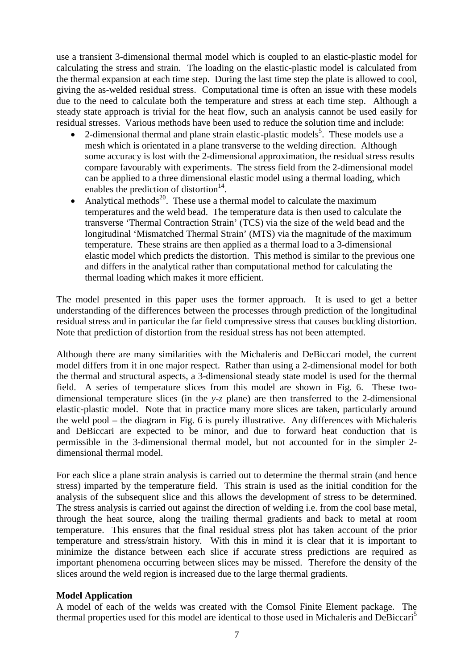use a transient 3-dimensional thermal model which is coupled to an elastic-plastic model for calculating the stress and strain. The loading on the elastic-plastic model is calculated from the thermal expansion at each time step. During the last time step the plate is allowed to cool, giving the as-welded residual stress. Computational time is often an issue with these models due to the need to calculate both the temperature and stress at each time step. Although a steady state approach is trivial for the heat flow, such an analysis cannot be used easily for residual stresses. Various methods have been used to reduce the solution time and include:

- 2-dimensional thermal and plane strain elastic-plastic models<sup>5</sup>. These models use a mesh which is orientated in a plane transverse to the welding direction. Although some accuracy is lost with the 2-dimensional approximation, the residual stress results compare favourably with experiments. The stress field from the 2-dimensional model can be applied to a three dimensional elastic model using a thermal loading, which enables the prediction of distortion $14$ .
- Analytical methods<sup>20</sup>. These use a thermal model to calculate the maximum temperatures and the weld bead. The temperature data is then used to calculate the transverse 'Thermal Contraction Strain' (TCS) via the size of the weld bead and the longitudinal 'Mismatched Thermal Strain' (MTS) via the magnitude of the maximum temperature. These strains are then applied as a thermal load to a 3-dimensional elastic model which predicts the distortion. This method is similar to the previous one and differs in the analytical rather than computational method for calculating the thermal loading which makes it more efficient.

The model presented in this paper uses the former approach. It is used to get a better understanding of the differences between the processes through prediction of the longitudinal residual stress and in particular the far field compressive stress that causes buckling distortion. Note that prediction of distortion from the residual stress has not been attempted.

Although there are many similarities with the Michaleris and DeBiccari model, the current model differs from it in one major respect. Rather than using a 2-dimensional model for both the thermal and structural aspects, a 3-dimensional steady state model is used for the thermal field. A series of temperature slices from this model are shownin [Fig. 6](#page-18-0). These twodimensional temperature slices (in the *y-z* plane) are then transferred to the 2-dimensional elastic-plastic model. Note that in practice many more slices are taken, particularly around the weld pool – the diagramin [Fig. 6](#page-18-0) is purely illustrative. Any differences with Michaleris and DeBiccari are expected to be minor, and due to forward heat conduction that is permissible in the 3-dimensional thermal model, but not accounted for in the simpler 2 dimensional thermal model.

For each slice a plane strain analysis is carried out to determine the thermal strain (and hence stress) imparted by the temperature field. This strain is used as the initial condition for the analysis of the subsequent slice and this allows the development of stress to be determined. The stress analysis is carried out against the direction of welding i.e. from the cool base metal, through the heat source, along the trailing thermal gradients and back to metal at room temperature. This ensures that the final residual stress plot has taken account of the prior temperature and stress/strain history. With this in mind it is clear that it is important to minimize the distance between each slice if accurate stress predictions are required as important phenomena occurring between slices may be missed. Therefore the density of the slices around the weld region is increased due to the large thermal gradients.

## **Model Application**

A model of each of the welds was created with the Comsol Finite Element package. The thermal properties used for this model are identical to those used in Michaleris and DeBiccari<sup>5</sup>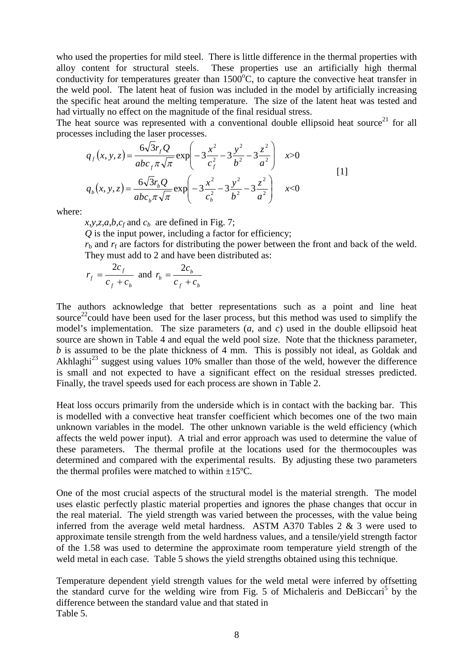who used the properties for mild steel. There is little difference in the thermal properties with alloy content for structural steels. These properties use an artificially high thermal conductivity for temperatures greater than  $1500^{\circ}$ C, to capture the convective heat transfer in the weld pool. The latent heat of fusion was included in the model by artificially increasing the specific heat around the melting temperature. The size of the latent heat was tested and had virtually no effect on the magnitude of the final residual stress.

The heat source was represented with a conventional double ellipsoid heat source<sup>21</sup> for all processes including the laser processes.

$$
q_f(x, y, z) = \frac{6\sqrt{3}r_fQ}{abc_f\pi\sqrt{\pi}} \exp\left(-3\frac{x^2}{c_f^2} - 3\frac{y^2}{b^2} - 3\frac{z^2}{a^2}\right) \quad x > 0
$$
  

$$
q_b(x, y, z) = \frac{6\sqrt{3}r_bQ}{abc_b\pi\sqrt{\pi}} \exp\left(-3\frac{x^2}{c_b^2} - 3\frac{y^2}{b^2} - 3\frac{z^2}{a^2}\right) \quad x < 0
$$
 [1]

where:

 $x, y, z, a, b, c_f$  $x, y, z, a, b, c_f$  $x, y, z, a, b, c_f$  and  $c_b$  are defined in [Fig. 7](#page-18-1);

*Q* is the input power, including a factor for efficiency;

 $r<sub>b</sub>$  and  $r<sub>f</sub>$  are factors for distributing the power between the front and back of the weld. They must add to 2 and have been distributed as:

$$
r_f = \frac{2c_f}{c_f + c_b}
$$
 and  $r_b = \frac{2c_b}{c_f + c_b}$ 

The authors acknowledge that better representations such as a point and line heat source<sup>22</sup> could have been used for the laser process, but this method was used to simplify the model's implementation. The size parameters (*a,* and *c*) used in the double ellipsoid heat source are shownin [Table 4](#page-14-0) and equal the weld pool size. Note that the thickness parameter, *b* is assumed to be the plate thickness of 4 mm. This is possibly not ideal, as Goldak and Akhlaghi<sup>23</sup> suggest using values 10% smaller than those of the weld, however the difference is small and not expected to have a significant effect on the residual stresses predicted. Finally, the travel speeds used for each process are shownin [Table 2](#page-12-1).

Heat loss occurs primarily from the underside which is in contact with the backing bar. This is modelled with a convective heat transfer coefficient which becomes one of the two main unknown variables in the model. The other unknown variable is the weld efficiency (which affects the weld power input). A trial and error approach was used to determine the value of these parameters. The thermal profile at the locations used for the thermocouples was determined and compared with the experimental results. By adjusting these two parameters the thermal profiles were matched to within  $\pm 15^{\circ}$ C.

One of the most crucial aspects of the structural model is the material strength. The model uses elastic perfectly plastic material properties and ignores the phase changes that occur in the real material. The yield strength was varied between the processes, with the value being inferred from the average weld metal hardness. ASTM A370 Tables 2 & 3 were used to approximate tensile strength from the weld hardness values, and a tensile/yield strength factor of the 1.58 was used to determine the approximate room temperature yield strength of the weld metal in eachcase. [Table 5](#page-14-1) shows the yield strengths obtained using this technique.

Temperature dependent yield strength values for the weld metal were inferred by offsetting the standard curve for the welding wire from Fig. 5 of Michaleris and DeBiccari<sup>5</sup> by the difference between the standard value and that stated in [Table](#page-14-2) 5.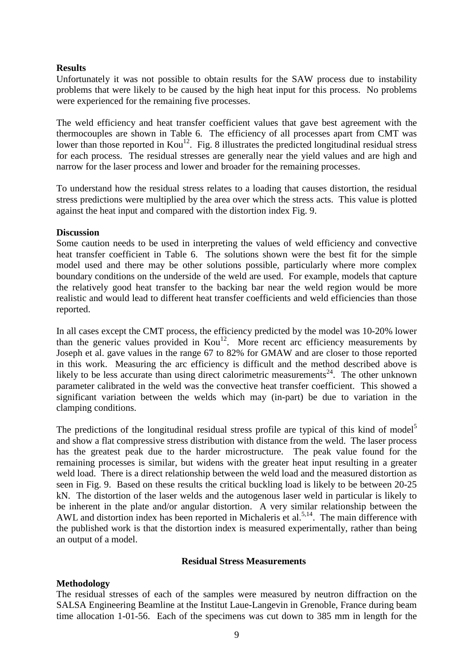## **Results**

Unfortunately it was not possible to obtain results for the SAW process due to instability problems that were likely to be caused by the high heat input for this process. No problems were experienced for the remaining five processes.

The weld efficiency and heat transfer coefficient values that gave best agreement with the thermocouples are shownin [Table 6.](#page-14-3) The efficiency of all processes apart from CMT was lower than those reported in  $Kou<sup>12</sup>$ . [Fig. 8](#page-18-2) illustrates the predicted longitudinal residual stress for each process. The residual stresses are generally near the yield values and are high and narrow for the laser process and lower and broader for the remaining processes.

To understand how the residual stress relates to a loading that causes distortion, the residual stress predictions were multiplied by the area over which the stress acts. This value is plotted against the heat input and compared with the distortionindex [Fig. 9.](#page-19-0)

#### **Discussion**

Some caution needs to be used in interpreting the values of weld efficiency and convective heat transfer coefficientin [Table 6.](#page-14-3) The solutions shown were the best fit for the simple model used and there may be other solutions possible, particularly where more complex boundary conditions on the underside of the weld are used. For example, models that capture the relatively good heat transfer to the backing bar near the weld region would be more realistic and would lead to different heat transfer coefficients and weld efficiencies than those reported.

In all cases except the CMT process, the efficiency predicted by the model was 10-20% lower than the generic values provided in  $Kou<sup>12</sup>$ . More recent arc efficiency measurements by Joseph et al. gave values in the range 67 to 82% for GMAW and are closer to those reported in this work. Measuring the arc efficiency is difficult and the method described above is likely to be less accurate than using direct calorimetric measurements<sup>24</sup>. The other unknown parameter calibrated in the weld was the convective heat transfer coefficient. This showed a significant variation between the welds which may (in-part) be due to variation in the clamping conditions.

The predictions of the longitudinal residual stress profile are typical of this kind of model<sup>5</sup> and show a flat compressive stress distribution with distance from the weld. The laser process has the greatest peak due to the harder microstructure. The peak value found for the remaining processes is similar, but widens with the greater heat input resulting in a greater weld load. There is a direct relationship between the weld load and the measured distortion as seenin [Fig. 9.](#page-19-0) Based on these results the critical buckling load is likely to be between 20-25 kN. The distortion of the laser welds and the autogenous laser weld in particular is likely to be inherent in the plate and/or angular distortion. A very similar relationship between the AWL and distortion index has been reported in Michaleris et al.<sup>5,14</sup>. The main difference with the published work is that the distortion index is measured experimentally, rather than being an output of a model.

#### **Residual Stress Measurements**

## **Methodology**

The residual stresses of each of the samples were measured by neutron diffraction on the SALSA Engineering Beamline at the Institut Laue-Langevin in Grenoble, France during beam time allocation 1-01-56. Each of the specimens was cut down to 385 mm in length for the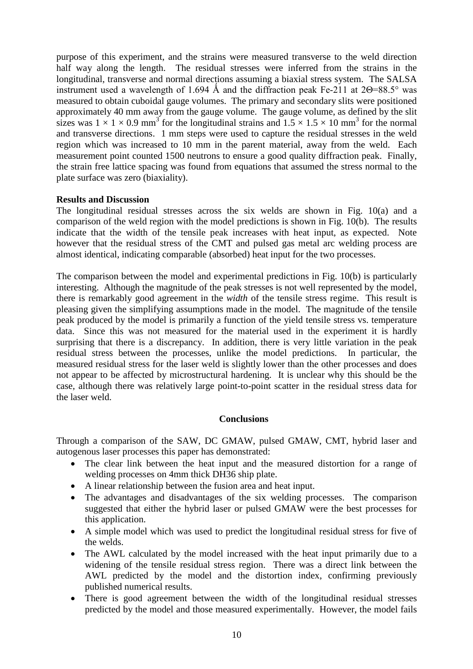purpose of this experiment, and the strains were measured transverse to the weld direction half way along the length. The residual stresses were inferred from the strains in the longitudinal, transverse and normal directions assuming a biaxial stress system. The SALSA instrument used a wavelength of 1.694 Å and the diffraction peak Fe-211 at  $2\Theta$ =88.5° was measured to obtain cuboidal gauge volumes. The primary and secondary slits were positioned approximately 40 mm away from the gauge volume. The gauge volume, as defined by the slit sizes was  $1 \times 1 \times 0.9$  mm<sup>3</sup> for the longitudinal strains and  $1.5 \times 1.5 \times 10$  mm<sup>3</sup> for the normal and transverse directions. 1 mm steps were used to capture the residual stresses in the weld region which was increased to 10 mm in the parent material, away from the weld. Each measurement point counted 1500 neutrons to ensure a good quality diffraction peak. Finally, the strain free lattice spacing was found from equations that assumed the stress normal to the plate surface was zero (biaxiality).

## **Results and Discussion**

The longitudinal residual stresses across the six welds are shownin [Fig. 10](#page-20-0)(a) and a comparison of the weld region with the model predictions is shownin [Fig. 10\(](#page-20-0)b). The results indicate that the width of the tensile peak increases with heat input, as expected. Note however that the residual stress of the CMT and pulsed gas metal arc welding process are almost identical, indicating comparable (absorbed) heat input for the two processes.

The comparison between the model and experimental predictionsin [Fig. 10\(](#page-20-0)b) is particularly interesting. Although the magnitude of the peak stresses is not well represented by the model, there is remarkably good agreement in the *width* of the tensile stress regime. This result is pleasing given the simplifying assumptions made in the model. The magnitude of the tensile peak produced by the model is primarily a function of the yield tensile stress vs. temperature data. Since this was not measured for the material used in the experiment it is hardly surprising that there is a discrepancy. In addition, there is very little variation in the peak residual stress between the processes, unlike the model predictions. In particular, the measured residual stress for the laser weld is slightly lower than the other processes and does not appear to be affected by microstructural hardening. It is unclear why this should be the case, although there was relatively large point-to-point scatter in the residual stress data for the laser weld.

## **Conclusions**

Through a comparison of the SAW, DC GMAW, pulsed GMAW, CMT, hybrid laser and autogenous laser processes this paper has demonstrated:

- The clear link between the heat input and the measured distortion for a range of welding processes on 4mm thick DH36 ship plate.
- A linear relationship between the fusion area and heat input.
- The advantages and disadvantages of the six welding processes. The comparison suggested that either the hybrid laser or pulsed GMAW were the best processes for this application.
- A simple model which was used to predict the longitudinal residual stress for five of the welds.
- The AWL calculated by the model increased with the heat input primarily due to a widening of the tensile residual stress region. There was a direct link between the AWL predicted by the model and the distortion index, confirming previously published numerical results.
- There is good agreement between the width of the longitudinal residual stresses predicted by the model and those measured experimentally. However, the model fails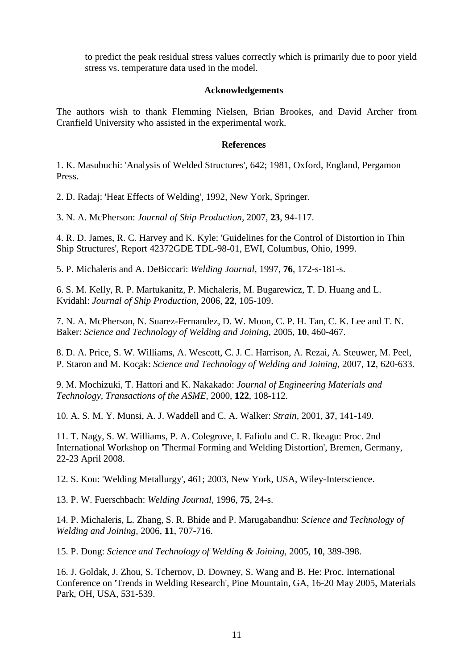to predict the peak residual stress values correctly which is primarily due to poor yield stress vs. temperature data used in the model.

#### **Acknowledgements**

The authors wish to thank Flemming Nielsen, Brian Brookes, and David Archer from Cranfield University who assisted in the experimental work.

#### **References**

1. K. Masubuchi: 'Analysis of Welded Structures', 642; 1981, Oxford, England, Pergamon Press.

2. D. Radaj: 'Heat Effects of Welding', 1992, New York, Springer.

3. N. A. McPherson: *Journal of Ship Production,* 2007, **23**, 94-117.

4. R. D. James, R. C. Harvey and K. Kyle: 'Guidelines for the Control of Distortion in Thin Ship Structures', Report 42372GDE TDL-98-01, EWI, Columbus, Ohio, 1999.

5. P. Michaleris and A. DeBiccari: *Welding Journal,* 1997, **76**, 172-s-181-s.

6. S. M. Kelly, R. P. Martukanitz, P. Michaleris, M. Bugarewicz, T. D. Huang and L. Kvidahl: *Journal of Ship Production,* 2006, **22**, 105-109.

7. N. A. McPherson, N. Suarez-Fernandez, D. W. Moon, C. P. H. Tan, C. K. Lee and T. N. Baker: *Science and Technology of Welding and Joining,* 2005, **10**, 460-467.

8. D. A. Price, S. W. Williams, A. Wescott, C. J. C. Harrison, A. Rezai, A. Steuwer, M. Peel, P. Staron and M. Koçak: *Science and Technology of Welding and Joining,* 2007, **12**, 620-633.

9. M. Mochizuki, T. Hattori and K. Nakakado: *Journal of Engineering Materials and Technology, Transactions of the ASME,* 2000, **122**, 108-112.

10. A. S. M. Y. Munsi, A. J. Waddell and C. A. Walker: *Strain,* 2001, **37**, 141-149.

11. T. Nagy, S. W. Williams, P. A. Colegrove, I. Fafiolu and C. R. Ikeagu: Proc. 2nd International Workshop on 'Thermal Forming and Welding Distortion', Bremen, Germany, 22-23 April 2008.

12. S. Kou: 'Welding Metallurgy', 461; 2003, New York, USA, Wiley-Interscience.

13. P. W. Fuerschbach: *Welding Journal,* 1996, **75**, 24-s.

14. P. Michaleris, L. Zhang, S. R. Bhide and P. Marugabandhu: *Science and Technology of Welding and Joining,* 2006, **11**, 707-716.

15. P. Dong: *Science and Technology of Welding & Joining,* 2005, **10**, 389-398.

16. J. Goldak, J. Zhou, S. Tchernov, D. Downey, S. Wang and B. He: Proc. International Conference on 'Trends in Welding Research', Pine Mountain, GA, 16-20 May 2005, Materials Park, OH, USA, 531-539.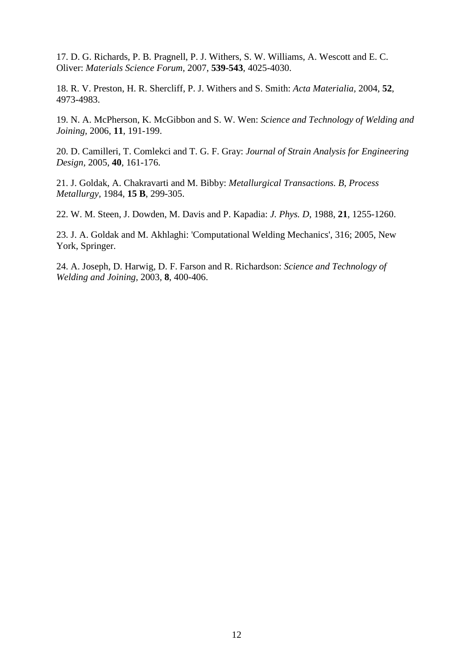17. D. G. Richards, P. B. Pragnell, P. J. Withers, S. W. Williams, A. Wescott and E. C. Oliver: *Materials Science Forum,* 2007, **539-543**, 4025-4030.

18. R. V. Preston, H. R. Shercliff, P. J. Withers and S. Smith: *Acta Materialia,* 2004, **52**, 4973-4983.

19. N. A. McPherson, K. McGibbon and S. W. Wen: *Science and Technology of Welding and Joining,* 2006, **11**, 191-199.

20. D. Camilleri, T. Comlekci and T. G. F. Gray: *Journal of Strain Analysis for Engineering Design,* 2005, **40**, 161-176.

21. J. Goldak, A. Chakravarti and M. Bibby: *Metallurgical Transactions. B, Process Metallurgy,* 1984, **15 B**, 299-305.

22. W. M. Steen, J. Dowden, M. Davis and P. Kapadia: *J. Phys. D,* 1988, **21**, 1255-1260.

23. J. A. Goldak and M. Akhlaghi: 'Computational Welding Mechanics', 316; 2005, New York, Springer.

24. A. Joseph, D. Harwig, D. F. Farson and R. Richardson: *Science and Technology of Welding and Joining,* 2003, **8**, 400-406.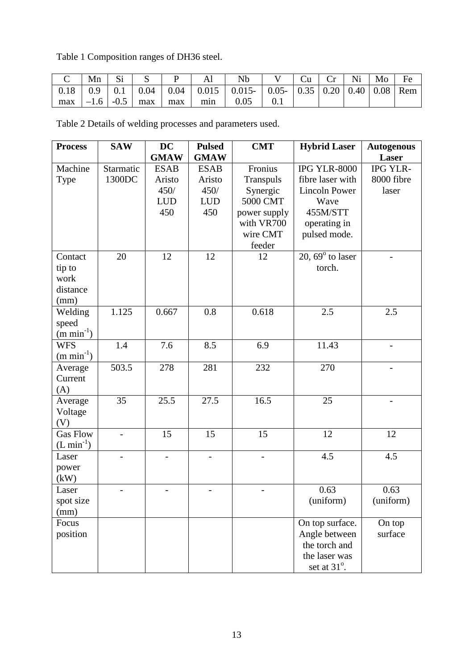<span id="page-12-0"></span>Table 1 Composition ranges of DH36 steel.

|      | Mn     | Si     |             |     |     | Nb                                                                                                | Cu | Ni | Mo | Fe  |
|------|--------|--------|-------------|-----|-----|---------------------------------------------------------------------------------------------------|----|----|----|-----|
| 0.18 | 0.9    | 0.1    | $\mid$ 0.04 |     |     | $\vert 0.04 \vert 0.015 \vert 0.015 \vert 0.05 \vert 0.35 \vert 0.20 \vert 0.40 \vert 0.08 \vert$ |    |    |    | Rem |
| max  | $-1.6$ | $-0.5$ | max         | max | min | 0.05                                                                                              |    |    |    |     |

<span id="page-12-1"></span>Table 2 Details of welding processes and parameters used.

| <b>Process</b>                   | <b>SAW</b> | <b>DC</b>                | <b>Pulsed</b>            | <b>CMT</b>        | <b>Hybrid Laser</b>      | <b>Autogenous</b> |
|----------------------------------|------------|--------------------------|--------------------------|-------------------|--------------------------|-------------------|
|                                  |            | <b>GMAW</b>              | <b>GMAW</b>              |                   |                          | Laser             |
| Machine                          | Starmatic  | <b>ESAB</b>              | <b>ESAB</b>              | Fronius           | IPG YLR-8000             | <b>IPG YLR-</b>   |
| Type                             | 1300DC     | Aristo                   | Aristo                   | Transpuls         | fibre laser with         | 8000 fibre        |
|                                  |            | 450/                     | 450/                     | Synergic          | <b>Lincoln Power</b>     | laser             |
|                                  |            | <b>LUD</b>               | <b>LUD</b>               | 5000 CMT          | Wave                     |                   |
|                                  |            | 450                      | 450                      | power supply      | 455M/STT                 |                   |
|                                  |            |                          |                          | with VR700        | operating in             |                   |
|                                  |            |                          |                          | wire CMT          | pulsed mode.             |                   |
|                                  |            |                          |                          | feeder            |                          |                   |
| Contact                          | 20         | 12                       | 12                       | 12                | $20,69^{\circ}$ to laser |                   |
| tip to                           |            |                          |                          |                   | torch.                   |                   |
| work                             |            |                          |                          |                   |                          |                   |
| distance                         |            |                          |                          |                   |                          |                   |
| (mm)                             |            |                          |                          |                   |                          |                   |
| Welding                          | 1.125      | 0.667                    | 0.8                      | 0.618             | 2.5                      | 2.5               |
| speed                            |            |                          |                          |                   |                          |                   |
| $\left(\text{m min}^{-1}\right)$ |            |                          |                          |                   |                          |                   |
| <b>WFS</b>                       | 1.4        | 7.6                      | 8.5                      | 6.9               | 11.43                    |                   |
| $(m min-1)$                      |            |                          |                          |                   |                          |                   |
| Average                          | 503.5      | 278                      | 281                      | 232               | 270                      |                   |
| Current                          |            |                          |                          |                   |                          |                   |
| (A)                              |            |                          |                          |                   |                          |                   |
| Average                          | 35         | 25.5                     | 27.5                     | 16.5              | 25                       |                   |
| Voltage                          |            |                          |                          |                   |                          |                   |
| (V)                              |            |                          |                          |                   |                          |                   |
| <b>Gas Flow</b>                  |            | 15                       | 15                       | 15                | 12                       | 12                |
| $(\text{L min}^{-1})$            |            |                          |                          |                   |                          |                   |
| Laser                            |            | $\overline{\phantom{a}}$ | $\overline{\phantom{0}}$ | $\qquad \qquad -$ | 4.5                      | 4.5               |
| power                            |            |                          |                          |                   |                          |                   |
| (kW)                             |            |                          |                          |                   |                          |                   |
| Laser                            |            |                          |                          |                   | 0.63                     | 0.63              |
| spot size                        |            |                          |                          |                   | (uniform)                | (uniform)         |
| (mm)                             |            |                          |                          |                   |                          |                   |
| Focus                            |            |                          |                          |                   | On top surface.          | On top            |
| position                         |            |                          |                          |                   | Angle between            | surface           |
|                                  |            |                          |                          |                   | the torch and            |                   |
|                                  |            |                          |                          |                   | the laser was            |                   |
|                                  |            |                          |                          |                   | set at 31 <sup>o</sup> . |                   |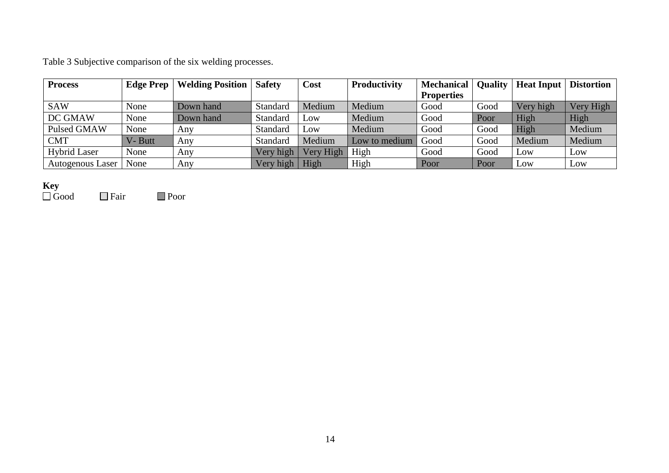Table 3 Subjective comparison of the six welding processes.

| <b>Process</b>          | <b>Edge Prep</b> | <b>Welding Position   Safety</b> |           | Cost      | <b>Productivity</b> | Mechanical        | <b>Quality</b> | <b>Heat Input</b> | <b>Distortion</b> |
|-------------------------|------------------|----------------------------------|-----------|-----------|---------------------|-------------------|----------------|-------------------|-------------------|
|                         |                  |                                  |           |           |                     | <b>Properties</b> |                |                   |                   |
| <b>SAW</b>              | None             | Down hand                        | Standard  | Medium    | Medium              | Good              | Good           | Very high         | Very High         |
| DC GMAW                 | None             | Down hand                        | Standard  | Low       | Medium              | Good              | Poor           | High              | High              |
| Pulsed GMAW             | None             | Any                              | Standard  | Low       | Medium              | Good              | Good           | High              | Medium            |
| <b>CMT</b>              | V-Butt           | Any                              | Standard  | Medium    | Low to medium       | Good              | Good           | Medium            | Medium            |
| <b>Hybrid Laser</b>     | None             | Any                              | Very high | Very High | High                | Good              | Good           | Low               | Low               |
| <b>Autogenous Laser</b> | None             | Any                              | Very high | High      | High                | Poor              | Poor           | Low               | Low               |

<span id="page-13-0"></span>

**Key**<br>□ Good

□ Fair Poor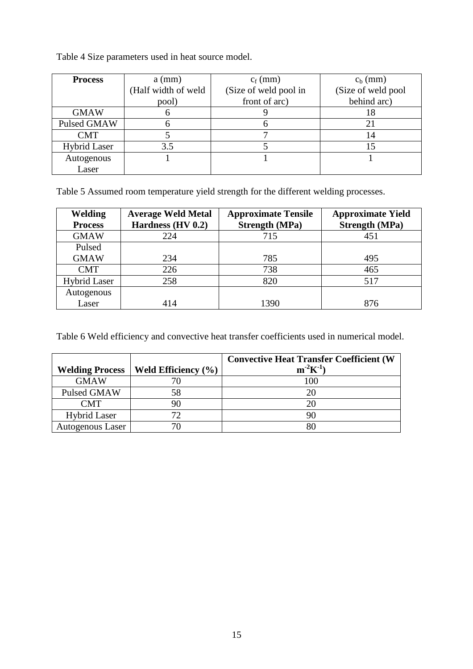| <b>Process</b>      | $a$ (mm)            | $c_f$ (mm)            | $c_b$ (mm)         |  |  |
|---------------------|---------------------|-----------------------|--------------------|--|--|
|                     | (Half width of weld | (Size of weld pool in | (Size of weld pool |  |  |
|                     | pool)               | front of arc)         | behind arc)        |  |  |
| <b>GMAW</b>         |                     |                       | 18                 |  |  |
| <b>Pulsed GMAW</b>  |                     |                       |                    |  |  |
| <b>CMT</b>          |                     |                       | 14                 |  |  |
| <b>Hybrid Laser</b> | 3.5                 |                       | 15                 |  |  |
| Autogenous          |                     |                       |                    |  |  |
| Laser               |                     |                       |                    |  |  |

<span id="page-14-0"></span>Table 4 Size parameters used in heat source model.

<span id="page-14-2"></span><span id="page-14-1"></span>Table 5 Assumed room temperature yield strength for the different welding processes.

| <b>Welding</b><br><b>Process</b> | <b>Average Weld Metal</b><br>Hardness $(HV 0.2)$ | <b>Approximate Tensile</b><br><b>Strength (MPa)</b> | <b>Approximate Yield</b><br><b>Strength (MPa)</b> |
|----------------------------------|--------------------------------------------------|-----------------------------------------------------|---------------------------------------------------|
| <b>GMAW</b>                      | 224                                              | 715                                                 | 451                                               |
| Pulsed                           |                                                  |                                                     |                                                   |
| <b>GMAW</b>                      | 234                                              | 785                                                 | 495                                               |
| <b>CMT</b>                       | 226                                              | 738                                                 | 465                                               |
| <b>Hybrid Laser</b>              | 258                                              | 820                                                 | 517                                               |
| Autogenous                       |                                                  |                                                     |                                                   |
| Laser                            | 414                                              | 1390                                                | 876                                               |

<span id="page-14-3"></span>Table 6 Weld efficiency and convective heat transfer coefficients used in numerical model.

|                        |                         | <b>Convective Heat Transfer Coefficient (W)</b> |
|------------------------|-------------------------|-------------------------------------------------|
| <b>Welding Process</b> | Weld Efficiency $(\% )$ | $m^2K^{-1}$                                     |
| <b>GMAW</b>            |                         | 100                                             |
| Pulsed GMAW            | 58                      |                                                 |
| CMT                    | 90                      |                                                 |
| <b>Hybrid Laser</b>    |                         |                                                 |
| Autogenous Laser       |                         | 80                                              |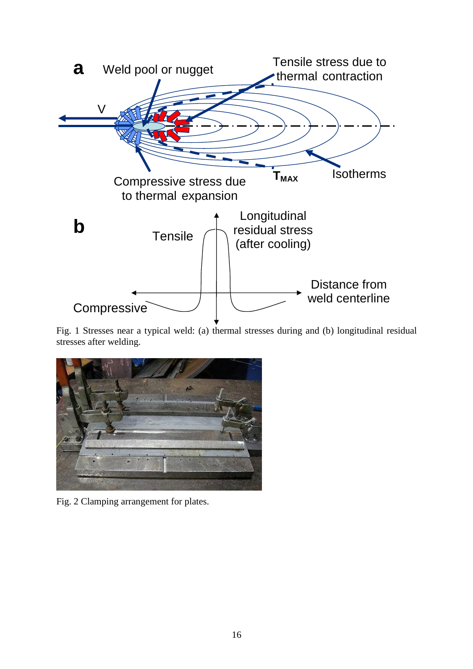

<span id="page-15-0"></span>Fig. 1 Stresses near a typical weld: (a) thermal stresses during and (b) longitudinal residual stresses after welding.

<span id="page-15-1"></span>

Fig. 2 Clamping arrangement for plates.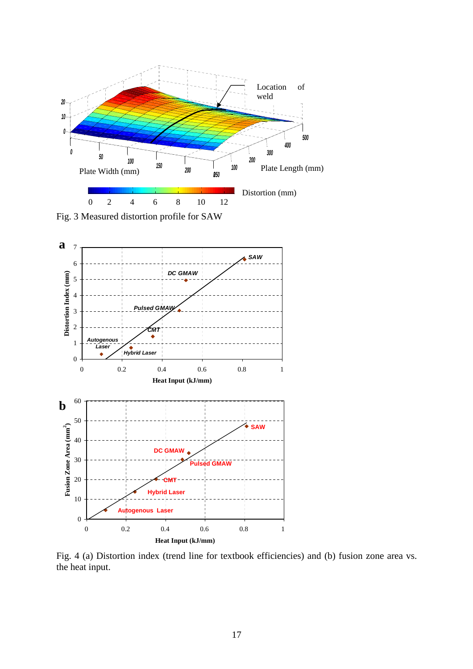

<span id="page-16-0"></span>Fig. 3 Measured distortion profile for SAW



<span id="page-16-1"></span>Fig. 4 (a) Distortion index (trend line for textbook efficiencies) and (b) fusion zone area vs. the heat input.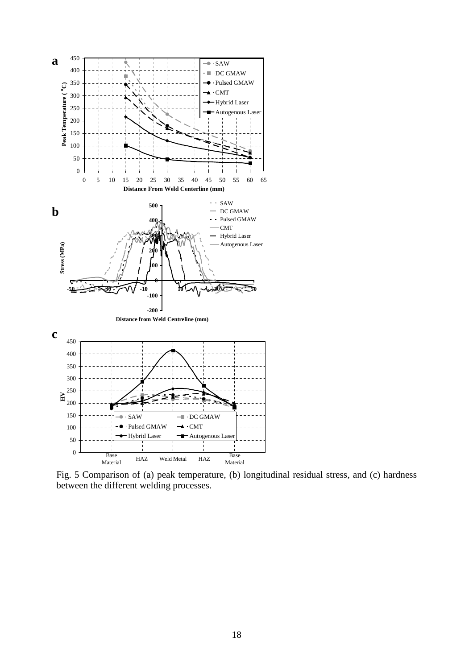

<span id="page-17-0"></span>Fig. 5 Comparison of (a) peak temperature, (b) longitudinal residual stress, and (c) hardness between the different welding processes.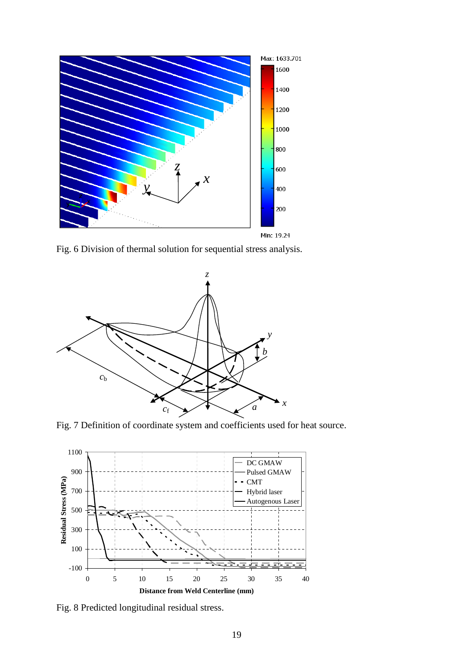

<span id="page-18-0"></span>Fig. 6 Division of thermal solution for sequential stress analysis.



<span id="page-18-1"></span>Fig. 7 Definition of coordinate system and coefficients used for heat source.



<span id="page-18-2"></span>Fig. 8 Predicted longitudinal residual stress.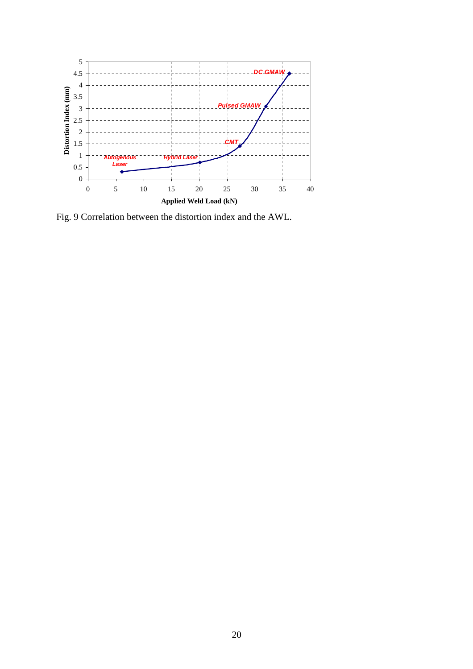

<span id="page-19-0"></span>Fig. 9 Correlation between the distortion index and the AWL.